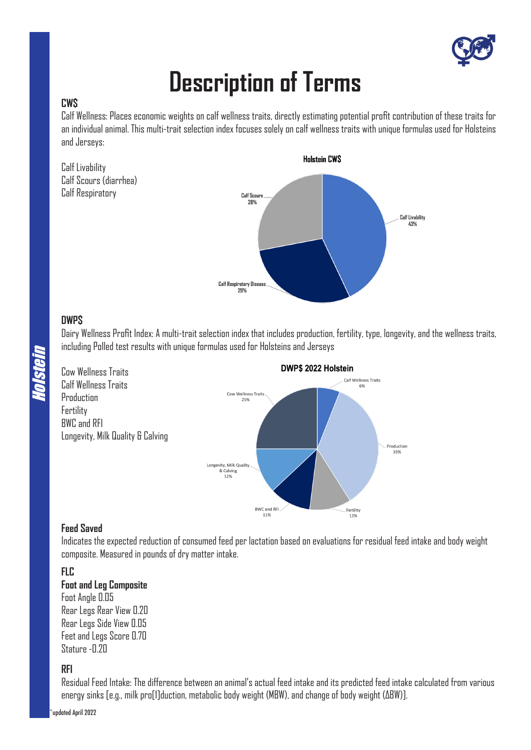

# **Description of Terms**

# **CW\$**

Calf Wellness: Places economic weights on calf wellness traits, directly estimating potential profit contribution of these traits for an individual animal. This multi-trait selection index focuses solely on calf wellness traits with unique formulas used for Holsteins and Jerseys:



# **DWP\$**

Holstein

Dairy Wellness Profit Index: A multi-trait selection index that includes production, fertility, type, longevity, and the wellness traits, including Polled test results with unique formulas used for Holsteins and Jerseys



# **Feed Saved**

Indicates the expected reduction of consumed feed per lactation based on evaluations for residual feed intake and body weight composite. Measured in pounds of dry matter intake.

# **FLC**

# **Foot and Leg Composite**

Foot Angle 0.05 Rear Legs Rear View 0.20 Rear Legs Side View 0.05 Feet and Legs Score 0.70 Stature -0.20

# **RFI**

Residual Feed Intake: The difference between an animal's actual feed intake and its predicted feed intake calculated from various energy sinks [e.g., milk pro[1]duction, metabolic body weight (MBW), and change of body weight (ΔBW)].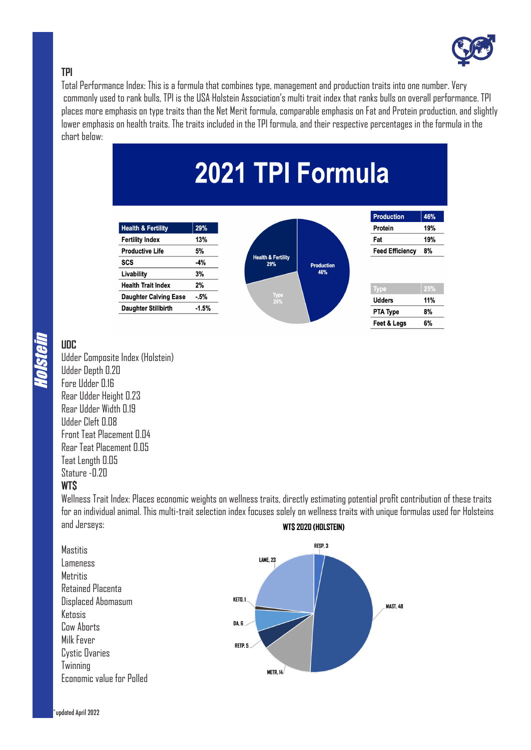

# **TPI**

Total Performance Index: This is a formula that combines type, management and production traits into one number. Very commonly used to rank bulls, TPI is the USA Holstein Association's multi trait index that ranks bulls on overall performance. TPI places more emphasis on type traits than the Net Merit formula, comparable emphasis on Fat and Protein production, and slightly lower emphasis on health traits. The traits included in the TPI formula, and their respective percentages in the formula in the chart below:



# Holstein

**UDC**

Udder Composite Index (Holstein) Udder Depth 0.20 Fore Udder 0.16 Rear Udder Height 0.23 Rear Udder Width 0.19 Udder Cleft 0.08 Front Teat Placement 0.04 Rear Teat Placement 0.05 Teat Length 0.05 Stature -0.20

# **WT\$**

Wellness Trait Index: Places economic weights on wellness traits, directly estimating potential profit contribution of these traits for an individual animal. This multi-trait selection index focuses solely on wellness traits with unique formulas used for Holsteins and Jerseys: **WTS 2020 (HOLSTEIN)** 

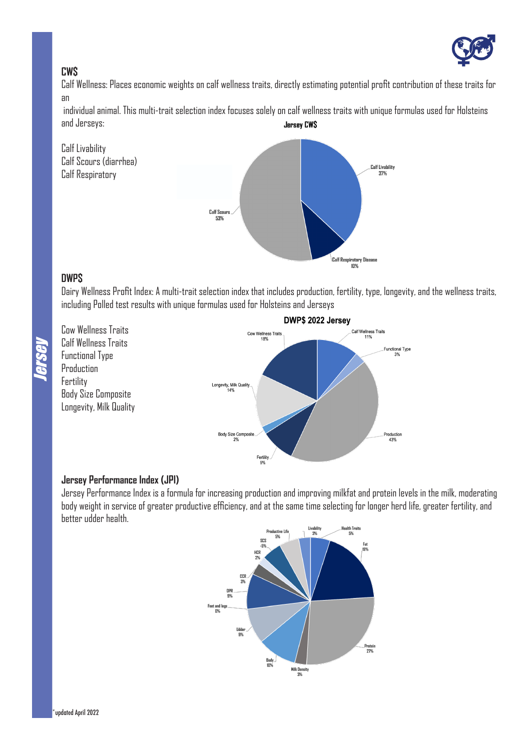

# **CW\$**

Calf Wellness: Places economic weights on calf wellness traits, directly estimating potential profit contribution of these traits for an

 individual animal. This multi-trait selection index focuses solely on calf wellness traits with unique formulas used for Holsteins and Jerseys: **Jersey CWS** 



# **DWP\$**

Dairy Wellness Profit Index: A multi-trait selection index that includes production, fertility, type, longevity, and the wellness traits, including Polled test results with unique formulas used for Holsteins and Jerseys

Cow Wellness Traits Calf Wellness Traits Functional Type **Production** Fertility Body Size Composite Longevity, Milk Quality



# **Jersey Performance Index (JPI)**

Jersey Performance Index is a formula for increasing production and improving milkfat and protein levels in the milk, moderating body weight in service of greater productive efficiency, and at the same time selecting for longer herd life, greater fertility, and better udder health.

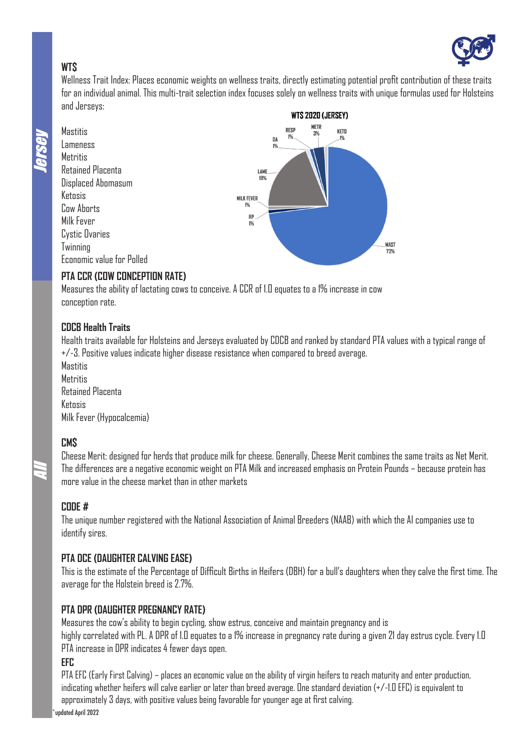

# **WT\$**

Wellness Trait Index: Places economic weights on wellness traits, directly estimating potential profit contribution of these traits for an individual animal. This multi-trait selection index focuses solely on wellness traits with unique formulas used for Holsteins and Jerseys:



Mastitis Lameness **Metritis** Retained Placenta Displaced Abomasum Ketosis **Cow Aborts** Milk Fever Cystic Ovaries Twinning Economic value for Polled



# **PTA CCR (COW CONCEPTION RATE)**

Measures the ability of lactating cows to conceive. A CCR of 1.0 equates to a 1% increase in cow conception rate.

# **CDCB Health Traits**

Health traits available for Holsteins and Jerseys evaluated by CDCB and ranked by standard PTA values with a typical range of +/-3. Positive values indicate higher disease resistance when compared to breed average.

**Mastitis Metritis** Retained Placenta Ketosis Milk Fever (Hypocalcemia)

# **CM\$**

All

Cheese Merit: designed for herds that produce milk for cheese. Generally, Cheese Merit combines the same traits as Net Merit. The differences are a negative economic weight on PTA Milk and increased emphasis on Protein Pounds – because protein has more value in the cheese market than in other markets

# **CODE #**

The unique number registered with the National Association of Animal Breeders (NAAB) with which the AI companies use to identify sires.

# **PTA DCE (DAUGHTER CALVING EASE)**

This is the estimate of the Percentage of Difficult Births in Heifers (DBH) for a bull's daughters when they calve the first time. The average for the Holstein breed is 2.7%.

# **PTA DPR (DAUGHTER PREGNANCY RATE)**

Measures the cow's ability to begin cycling, show estrus, conceive and maintain pregnancy and is highly correlated with PL. A DPR of 1.0 equates to a 1% increase in pregnancy rate during a given 21 day estrus cycle. Every 1.0 PTA increase in DPR indicates 4 fewer days open.

# **EFC**

PTA EFC (Early First Calving) – places an economic value on the ability of virgin heifers to reach maturity and enter production, indicating whether heifers will calve earlier or later than breed average. One standard deviation (+/-1.0 EFC) is equivalent to approximately 3 days, with positive values being favorable for younger age at first calving.

updated April 2022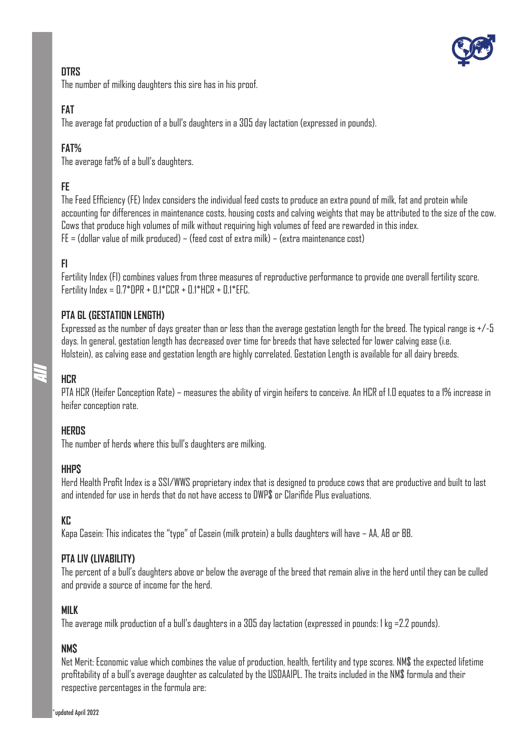

# **DTRS**

The number of milking daughters this sire has in his proof.

# **FAT**

The average fat production of a bull's daughters in a 305 day lactation (expressed in pounds).

# **FAT%**

The average fat% of a bull's daughters.

# **FE**

The Feed Efficiency (FE) Index considers the individual feed costs to produce an extra pound of milk, fat and protein while accounting for differences in maintenance costs, housing costs and calving weights that may be attributed to the size of the cow. Cows that produce high volumes of milk without requiring high volumes of feed are rewarded in this index.  $FE = (dollar value of milk produced) - (feed cost of extra milk) - (extra maintenance cost)$ 

# **FI**

Fertility Index (FI) combines values from three measures of reproductive performance to provide one overall fertility score. Fertility Index = 0.7\*DPR + 0.1\*CCR + 0.1\*HCR + 0.1\*EFC.

# **PTA GL (GESTATION LENGTH)**

Expressed as the number of days greater than or less than the average gestation length for the breed. The typical range is +/-5 days. In general, gestation length has decreased over time for breeds that have selected for lower calving ease (i.e. Holstein), as calving ease and gestation length are highly correlated. Gestation Length is available for all dairy breeds.

# **HCR**

All

PTA HCR (Heifer Conception Rate) – measures the ability of virgin heifers to conceive. An HCR of 1.0 equates to a 1% increase in heifer conception rate.

# **HERDS**

The number of herds where this bull's daughters are milking.

# **HHP\$**

Herd Health Profit Index is a SSI/WWS proprietary index that is designed to produce cows that are productive and built to last and intended for use in herds that do not have access to DWP\$ or Clarifide Plus evaluations.

# **KC**

Kapa Casein: This indicates the "type" of Casein (milk protein) a bulls daughters will have – AA, AB or BB.

# **PTA LIV (LIVABILITY)**

The percent of a bull's daughters above or below the average of the breed that remain alive in the herd until they can be culled and provide a source of income for the herd.

# **MILK**

The average milk production of a bull's daughters in a 305 day lactation (expressed in pounds: 1 kg =2.2 pounds).

# **NM\$**

Net Merit: Economic value which combines the value of production, health, fertility and type scores. NM\$ the expected lifetime profitability of a bull's average daughter as calculated by the USDAAIPL. The traits included in the NM\$ formula and their respective percentages in the formula are: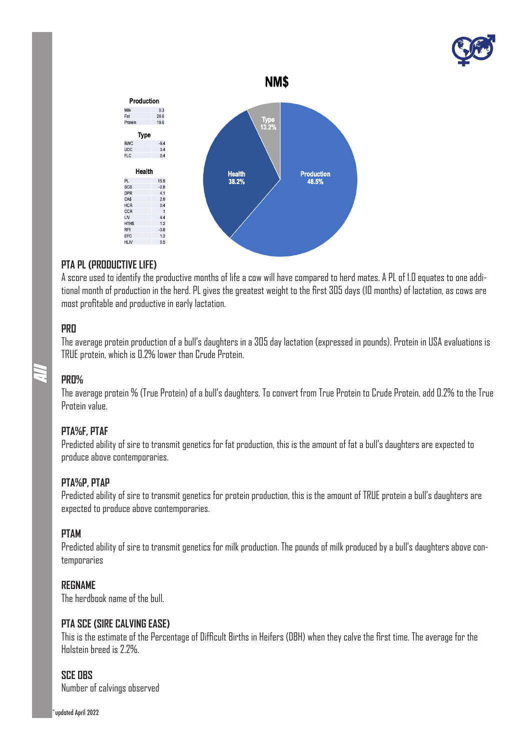



# **PTA PL (PRODUCTIVE LIFE)**

Fat

 $P_{\text{max}}$ 

PL

LIV

**RFI** 

A score used to identify the productive months of life a cow will have compared to herd mates. A PL of 1.0 equates to one additional month of production in the herd. PL gives the greatest weight to the first 305 days (10 months) of lactation, as cows are most profitable and productive in early lactation.

# **PRO**

The average protein production of a bull's daughters in a 305 day lactation (expressed in pounds). Protein in USA evaluations is TRUE protein, which is 0.2% lower than Crude Protein.

#### **PRO%**

All

The average protein % (True Protein) of a bull's daughters. To convert from True Protein to Crude Protein, add 0.2% to the True Protein value.

# **PTA%F, PTAF**

Predicted ability of sire to transmit genetics for fat production, this is the amount of fat a bull's daughters are expected to produce above contemporaries.

# **PTA%P, PTAP**

Predicted ability of sire to transmit genetics for protein production, this is the amount of TRUE protein a bull's daughters are expected to produce above contemporaries.

# **PTAM**

Predicted ability of sire to transmit genetics for milk production. The pounds of milk produced by a bull's daughters above contemporaries

# **REGNAME**

The herdbook name of the bull.

#### **PTA SCE (SIRE CALVING EASE)**

This is the estimate of the Percentage of Difficult Births in Heifers (DBH) when they calve the first time. The average for the Holstein breed is 2.2%.

# **SCE OBS**

Number of calvings observed